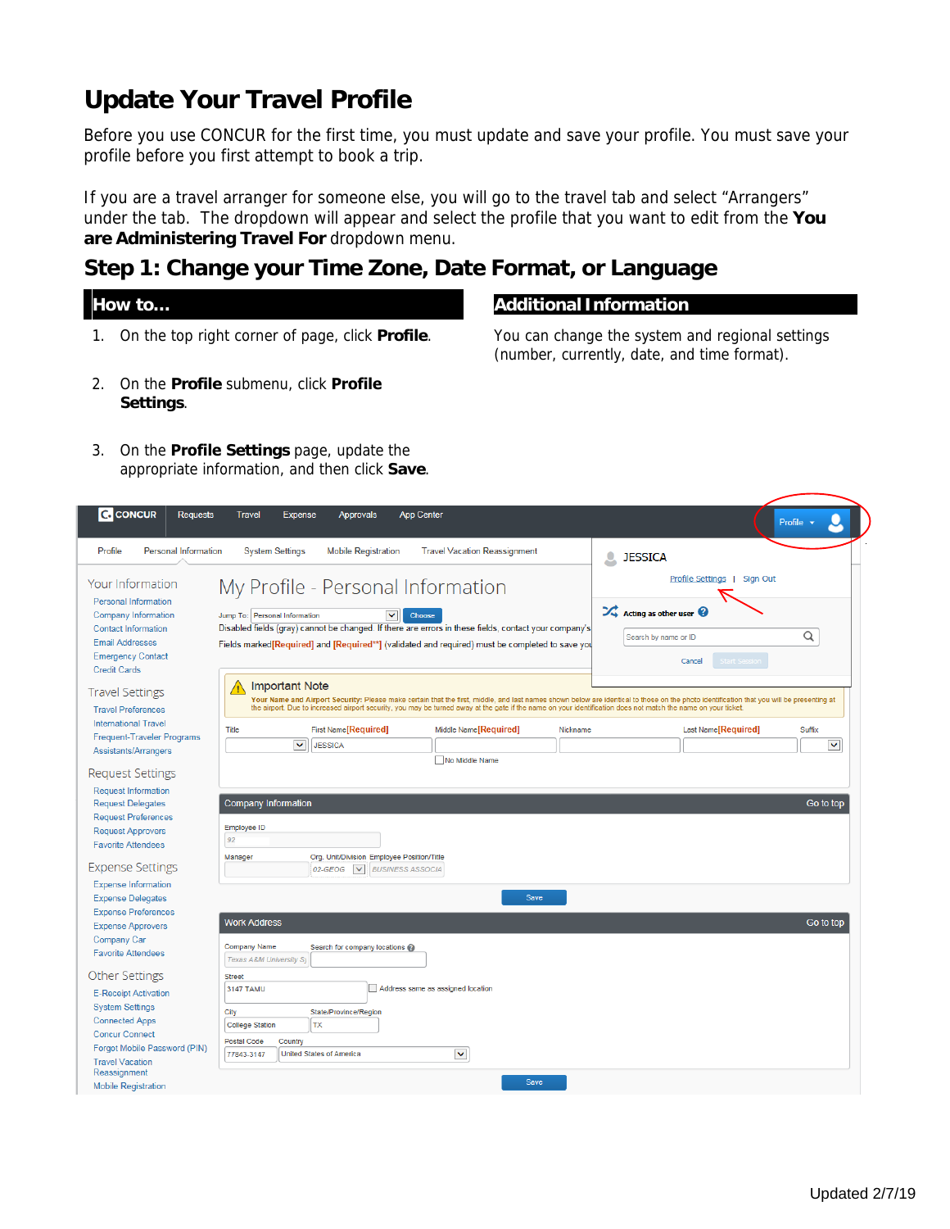# **Update Your Travel Profile**

Before you use CONCUR for the first time, you must update and save your profile. You must save your profile before you first attempt to book a trip.

If you are a travel arranger for someone else, you will go to the travel tab and select "Arrangers" under the tab. The dropdown will appear and select the profile that you want to edit from the **You are Administering Travel For** dropdown menu.

## **Step 1: Change your Time Zone, Date Format, or Language**

- 1. On the top right corner of page, click **Profile**. You can change the system and regional settings
- 2. On the **Profile** submenu, click **Profile Settings**.

### **How to… Additional Information**

(number, currently, date, and time format).

3. On the **Profile Settings** page, update the appropriate information, and then click **Save**.

| <b>C</b> CONCUR<br><b>Requests</b>                                                                                                                                                | <b>App Center</b><br><b>Travel</b><br><b>Expense</b><br><b>Approvals</b>                                                                                                                                                                                                                                                                                                                | Profile v                                                                                                                                  |
|-----------------------------------------------------------------------------------------------------------------------------------------------------------------------------------|-----------------------------------------------------------------------------------------------------------------------------------------------------------------------------------------------------------------------------------------------------------------------------------------------------------------------------------------------------------------------------------------|--------------------------------------------------------------------------------------------------------------------------------------------|
| Profile<br><b>Personal Information</b>                                                                                                                                            | <b>System Settings</b><br><b>Mobile Registration</b><br><b>Travel Vacation Reassignment</b><br>Q                                                                                                                                                                                                                                                                                        | <b>JESSICA</b>                                                                                                                             |
| Your Information<br><b>Personal Information</b><br>Company Information<br><b>Contact Information</b><br><b>Email Addresses</b><br><b>Emergency Contact</b><br><b>Credit Cards</b> | My Profile - Personal Information<br>Jump To: Personal Information<br>$\checkmark$<br>Choose<br>Disabled fields (gray) cannot be changed. If there are errors in these fields, contact your company's<br>Fields marked [Required] and [Required**] (validated and required) must be completed to save you                                                                               | Profile Settings   Sign Out<br>$\mathcal{L}_{\bullet}$ Acting as other user $\mathcal Q$<br>Q<br>Search by name or ID<br>Cancel<br>Start S |
| <b>Travel Settings</b><br><b>Travel Preferences</b><br><b>International Travel</b>                                                                                                | <b>Important Note</b><br>Æ<br>Your Name and Airport Security: Please make certain that the first, middle, and last names shown below are identical to those on the photo identification that you will be presenting at<br>the airport. Due to increased airport security, you may be turned away at the gate if the name on your identification does not match the name on your ticket. |                                                                                                                                            |
| <b>Frequent-Traveler Programs</b><br>Assistants/Arrangers                                                                                                                         | <b>First Name[Required]</b><br>Middle Name <sup>[</sup> Required]<br>Title<br>Nickname<br>$\checkmark$<br><b>JESSICA</b><br>No Middle Name                                                                                                                                                                                                                                              | Last Name[Required]<br>Suffix<br>$\checkmark$                                                                                              |
| <b>Request Settings</b><br><b>Request Information</b><br><b>Request Delegates</b><br><b>Request Preferences</b><br><b>Request Approvers</b><br><b>Favorite Attendees</b>          | <b>Company Information</b><br>Employee ID<br>92                                                                                                                                                                                                                                                                                                                                         | Go to top                                                                                                                                  |
| <b>Expense Settings</b><br><b>Expense Information</b>                                                                                                                             | Org. Unit/Division Employee Position/Title<br>Manager<br>02-GEOG<br>$\checkmark$<br><b>BUSINESS ASSOCIA</b><br>Save                                                                                                                                                                                                                                                                     |                                                                                                                                            |
| <b>Expense Delegates</b><br><b>Expense Preferences</b><br><b>Expense Approvers</b><br>Company Car<br><b>Favorite Attendees</b>                                                    | <b>Work Address</b><br><b>Company Name</b><br>Search for company locations @<br>Texas A&M University Sy                                                                                                                                                                                                                                                                                 | Go to top                                                                                                                                  |
| <b>Other Settings</b><br><b>E-Receipt Activation</b><br><b>System Settings</b><br><b>Connected Apps</b><br><b>Concur Connect</b><br>Forgot Mobile Password (PIN)                  | <b>Street</b><br>Address same as assigned location<br>3147 TAMU<br>City<br>State/Province/Region<br><b>College Station</b><br><b>TX</b><br><b>Postal Code</b><br>Country                                                                                                                                                                                                                |                                                                                                                                            |
| <b>Travel Vacation</b><br>Reassignment<br><b>Mobile Registration</b>                                                                                                              | $\blacktriangledown$<br>77843-3147<br><b>United States of America</b><br>Save                                                                                                                                                                                                                                                                                                           |                                                                                                                                            |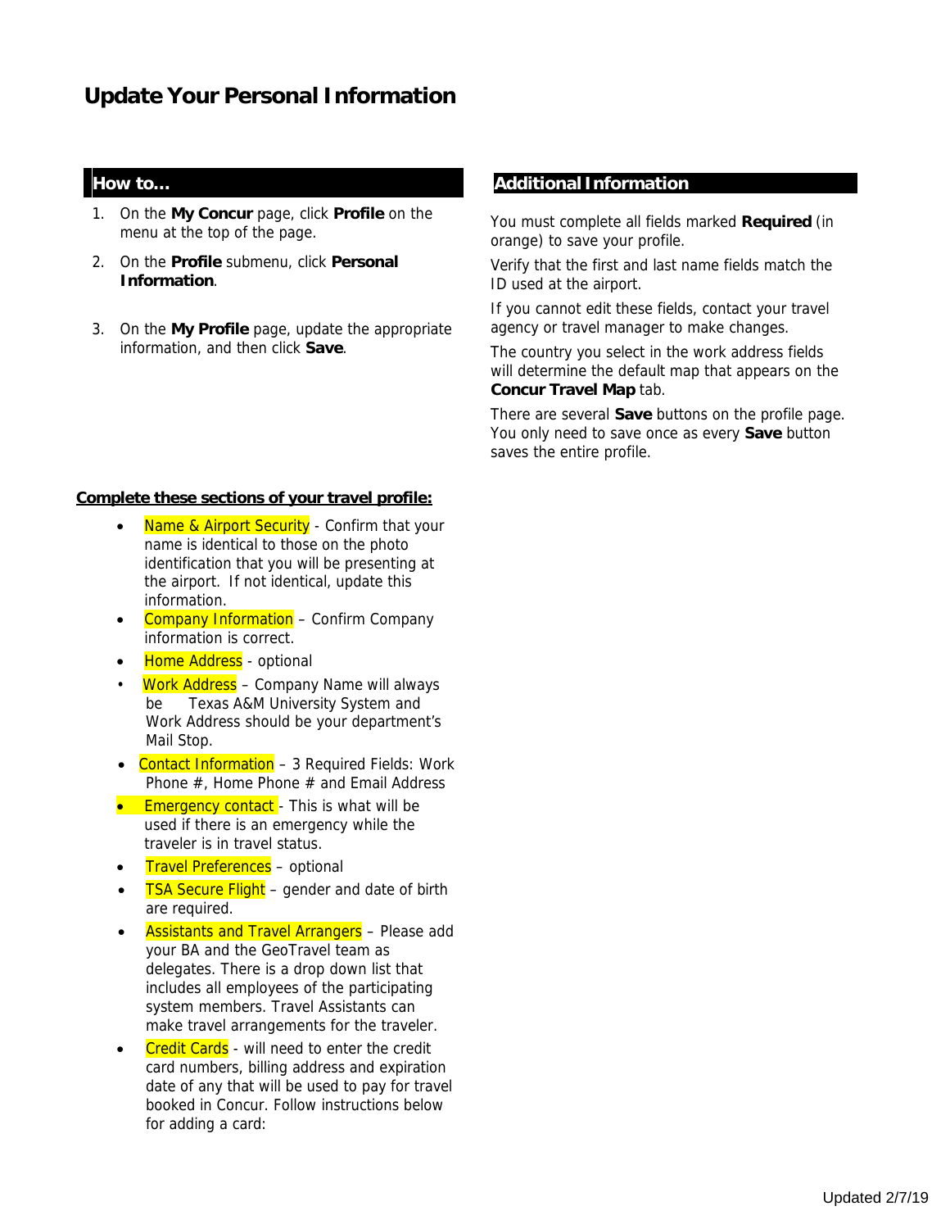# **Update Your Personal Information**

- 1. On the **My Concur** page, click **Profile** on the menu at the top of the page.
- 2. On the **Profile** submenu, click **Personal Information**.
- 3. On the **My Profile** page, update the appropriate information, and then click **Save**.

#### **Complete these sections of your travel profile:**

- Name & Airport Security Confirm that your name is identical to those on the photo identification that you will be presenting at the airport. If not identical, update this information.
- Company Information Confirm Company information is correct.
- Home Address optional
- Work Address Company Name will always be Texas A&M University System and Work Address should be your department's Mail Stop.
- Contact Information 3 Required Fields: Work Phone #, Home Phone # and Email Address
- **Emergency contact** This is what will be used if there is an emergency while the traveler is in travel status.
- Travel Preferences optional
- **TSA Secure Flight** gender and date of birth are required.
- Assistants and Travel Arrangers Please add your BA and the GeoTravel team as delegates. There is a drop down list that includes all employees of the participating system members. Travel Assistants can make travel arrangements for the traveler.
- **Credit Cards** will need to enter the credit card numbers, billing address and expiration date of any that will be used to pay for travel booked in Concur. Follow instructions below for adding a card:

#### **How to... How to... Additional Information**

You must complete all fields marked **Required** (in orange) to save your profile.

Verify that the first and last name fields match the ID used at the airport.

If you cannot edit these fields, contact your travel agency or travel manager to make changes.

The country you select in the work address fields will determine the default map that appears on the **Concur Travel Map** tab.

There are several **Save** buttons on the profile page. You only need to save once as every **Save** button saves the entire profile.